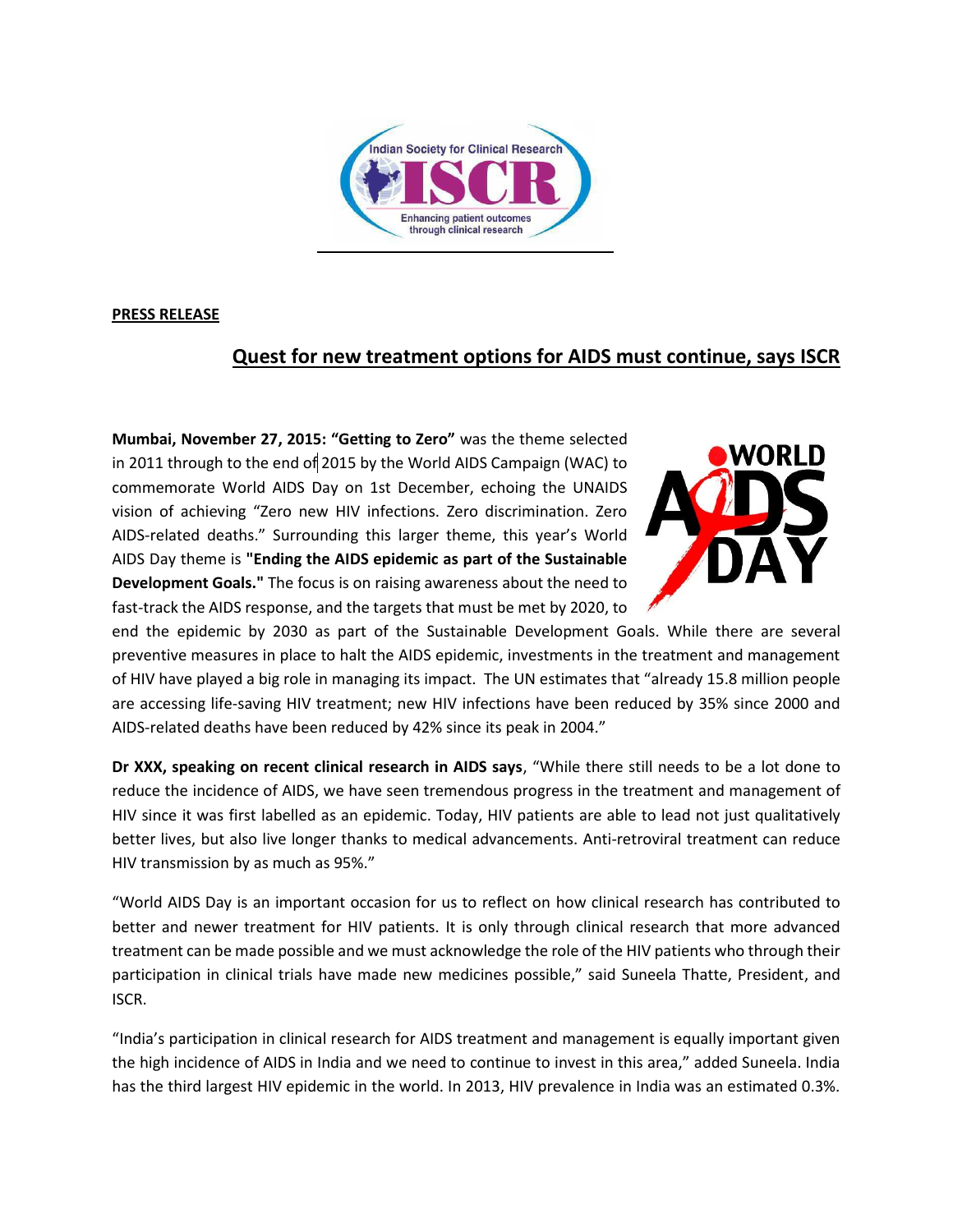

## **PRESS RELEASE**

## **Quest for new treatment options for AIDS must continue, says ISCR**

**Mumbai, November 27, 2015: "Getting to Zero"** was the theme selected in 2011 through to the end of 2015 by the World AIDS Campaign (WAC) to commemorate World AIDS Day on 1st December, echoing the UNAIDS vision of achieving "Zero new HIV infections. Zero discrimination. Zero AIDS-related deaths." Surrounding this larger theme, this year's World AIDS Day theme is **"Ending the AIDS epidemic as part of the Sustainable Development Goals."** The focus is on raising awareness about the need to fast-track the AIDS response, and the targets that must be met by 2020, to



end the epidemic by 2030 as part of the Sustainable Development Goals. While there are several preventive measures in place to halt the AIDS epidemic, investments in the treatment and management of HIV have played a big role in managing its impact. The UN estimates that "already 15.8 million people are accessing life-saving HIV treatment; new HIV infections have been reduced by 35% since 2000 and AIDS-related deaths have been reduced by 42% since its peak in 2004."

**Dr XXX, speaking on recent clinical research in AIDS says**, "While there still needs to be a lot done to reduce the incidence of AIDS, we have seen tremendous progress in the treatment and management of HIV since it was first labelled as an epidemic. Today, HIV patients are able to lead not just qualitatively better lives, but also live longer thanks to medical advancements. Anti-retroviral treatment can reduce HIV transmission by as much as 95%."

"World AIDS Day is an important occasion for us to reflect on how clinical research has contributed to better and newer treatment for HIV patients. It is only through clinical research that more advanced treatment can be made possible and we must acknowledge the role of the HIV patients who through their participation in clinical trials have made new medicines possible," said Suneela Thatte, President, and ISCR.

"India's participation in clinical research for AIDS treatment and management is equally important given the high incidence of AIDS in India and we need to continue to invest in this area," added Suneela. India has the third largest HIV epidemic in the world. In 2013, HIV prevalence in India was an estimated 0.3%.